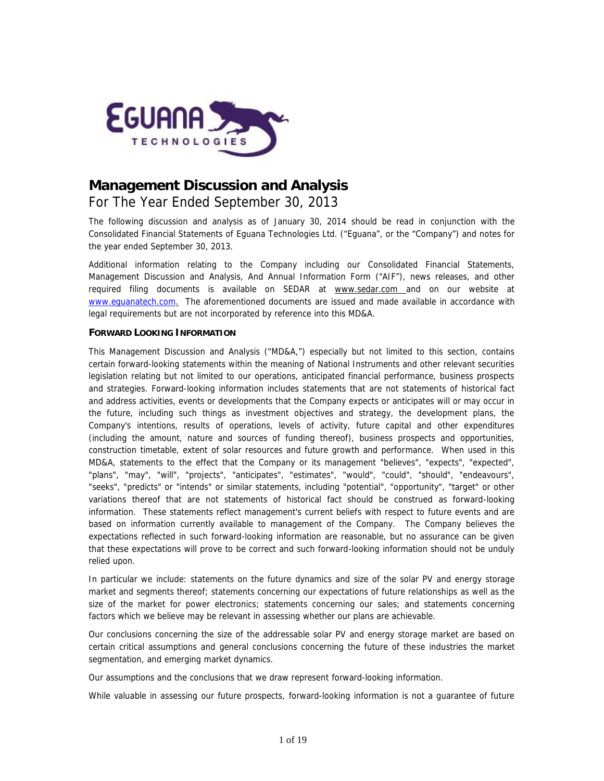

# **Management Discussion and Analysis** For The Year Ended September 30, 2013

*The following discussion and analysis as of January 30, 2014 should be read in conjunction with the Consolidated Financial Statements of Eguana Technologies Ltd. ("Eguana", or the "Company") and notes for the year ended September 30, 2013.*

*Additional information relating to the Company including our Consolidated Financial Statements, Management Discussion and Analysis, And Annual Information Form ("AIF"), news releases, and other required filing documents is available on SEDAR at www.sedar.com* and on our website at *www.eguanatech.com. The aforementioned documents are issued and made available in accordance with legal requirements but are not incorporated by reference into this MD&A.*

# **FORWARD LOOKING INFORMATION**

This Management Discussion and Analysis ("MD&A,") especially but not limited to this section, contains certain forward-looking statements within the meaning of National Instruments and other relevant securities legislation relating but not limited to our operations, anticipated financial performance, business prospects and strategies. Forward-looking information includes statements that are not statements of historical fact and address activities, events or developments that the Company expects or anticipates will or may occur in the future, including such things as investment objectives and strategy, the development plans, the Company's intentions, results of operations, levels of activity, future capital and other expenditures (including the amount, nature and sources of funding thereof), business prospects and opportunities, construction timetable, extent of solar resources and future growth and performance. When used in this MD&A, statements to the effect that the Company or its management "believes", "expects", "expected", "plans", "may", "will", "projects", "anticipates", "estimates", "would", "could", "should", "endeavours", "seeks", "predicts" or "intends" or similar statements, including "potential", "opportunity", "target" or other variations thereof that are not statements of historical fact should be construed as forward-looking information. These statements reflect management's current beliefs with respect to future events and are based on information currently available to management of the Company. The Company believes the expectations reflected in such forward-looking information are reasonable, but no assurance can be given that these expectations will prove to be correct and such forward-looking information should not be unduly relied upon.

In particular we include: statements on the future dynamics and size of the solar PV and energy storage market and segments thereof; statements concerning our expectations of future relationships as well as the size of the market for power electronics; statements concerning our sales; and statements concerning factors which we believe may be relevant in assessing whether our plans are achievable.

Our conclusions concerning the size of the addressable solar PV and energy storage market are based on certain critical assumptions and general conclusions concerning the future of these industries the market segmentation, and emerging market dynamics.

Our assumptions and the conclusions that we draw represent forward-looking information.

While valuable in assessing our future prospects, forward-looking information is not a guarantee of future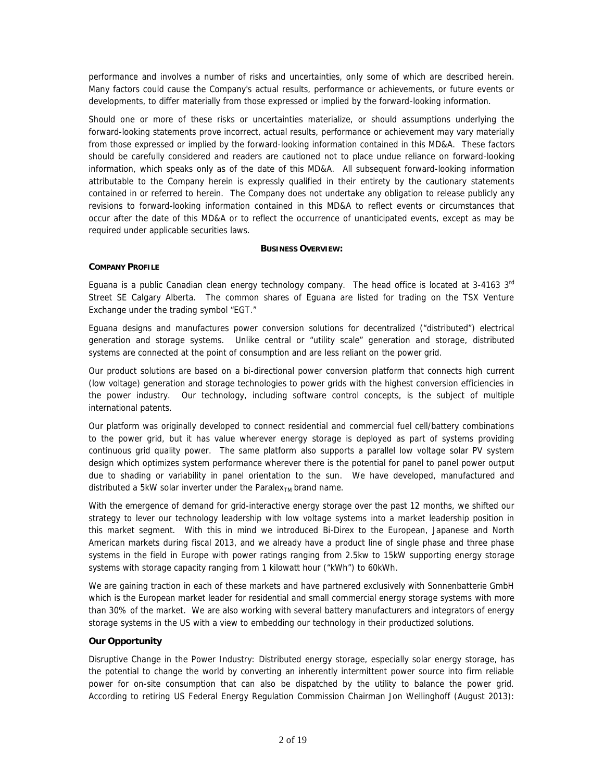performance and involves a number of risks and uncertainties, only some of which are described herein. Many factors could cause the Company's actual results, performance or achievements, or future events or developments, to differ materially from those expressed or implied by the forward-looking information.

Should one or more of these risks or uncertainties materialize, or should assumptions underlying the forward-looking statements prove incorrect, actual results, performance or achievement may vary materially from those expressed or implied by the forward-looking information contained in this MD&A. These factors should be carefully considered and readers are cautioned not to place undue reliance on forward-looking information, which speaks only as of the date of this MD&A. All subsequent forward-looking information attributable to the Company herein is expressly qualified in their entirety by the cautionary statements contained in or referred to herein. The Company does not undertake any obligation to release publicly any revisions to forward-looking information contained in this MD&A to reflect events or circumstances that occur after the date of this MD&A or to reflect the occurrence of unanticipated events, except as may be required under applicable securities laws.

### **BUSINESS OVERVIEW:**

### *COMPANY PROFILE*

Eguana is a public Canadian clean energy technology company. The head office is located at  $3-4163$   $3<sup>rd</sup>$ Street SE Calgary Alberta. The common shares of Eguana are listed for trading on the TSX Venture Exchange under the trading symbol "EGT."

Eguana designs and manufactures power conversion solutions for decentralized ("distributed") electrical generation and storage systems. Unlike central or "utility scale" generation and storage, distributed systems are connected at the point of consumption and are less reliant on the power grid.

Our product solutions are based on a bi-directional power conversion platform that connects high current (low voltage) generation and storage technologies to power grids with the highest conversion efficiencies in the power industry. Our technology, including software control concepts, is the subject of multiple international patents.

Our platform was originally developed to connect residential and commercial fuel cell/battery combinations to the power grid, but it has value wherever energy storage is deployed as part of systems providing continuous grid quality power. The same platform also supports a parallel low voltage solar PV system design which optimizes system performance wherever there is the potential for panel to panel power output due to shading or variability in panel orientation to the sun. We have developed, manufactured and distributed a 5kW solar inverter under the Paralex $_{TM}$  brand name.

With the emergence of demand for grid-interactive energy storage over the past 12 months, we shifted our strategy to lever our technology leadership with low voltage systems into a market leadership position in this market segment. With this in mind we introduced Bi-Direx to the European, Japanese and North American markets during fiscal 2013, and we already have a product line of single phase and three phase systems in the field in Europe with power ratings ranging from 2.5kw to 15kW supporting energy storage systems with storage capacity ranging from 1 kilowatt hour ("kWh") to 60kWh.

We are gaining traction in each of these markets and have partnered exclusively with Sonnenbatterie GmbH which is the European market leader for residential and small commercial energy storage systems with more than 30% of the market. We are also working with several battery manufacturers and integrators of energy storage systems in the US with a view to embedding our technology in their productized solutions.

### *Our Opportunity*

*Disruptive Change in the Power Industry:* Distributed energy storage, especially solar energy storage, has the potential to change the world by converting an inherently intermittent power source into firm reliable power for on-site consumption that can also be dispatched by the utility to balance the power grid. According to retiring US Federal Energy Regulation Commission Chairman Jon Wellinghoff (August 2013):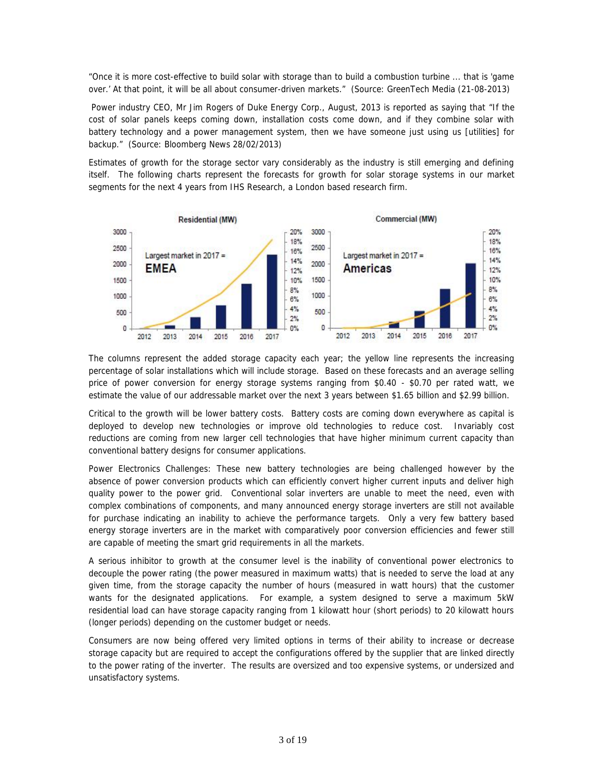*"Once it is more cost-effective to build solar with storage than to build a combustion turbine ... that is 'game over.' At that point, it will be all about consumer-driven markets."* (Source: GreenTech Media (21-08-2013)

Power industry CEO, Mr Jim Rogers of Duke Energy Corp., August, 2013 is reported as saying that *"If the cost of solar panels keeps coming down, installation costs come down, and if they combine solar with battery technology and a power management system, then we have someone just using us [utilities] for backup."* (Source: Bloomberg News 28/02/2013)

Estimates of growth for the storage sector vary considerably as the industry is still emerging and defining itself. The following charts represent the forecasts for growth for solar storage systems in our market segments for the next 4 years from IHS Research, a London based research firm.



The columns represent the added storage capacity each year; the yellow line represents the increasing percentage of solar installations which will include storage. Based on these forecasts and an average selling price of power conversion for energy storage systems ranging from \$0.40 - \$0.70 per rated watt, we estimate the value of our addressable market over the next 3 years between \$1.65 billion and \$2.99 billion.

Critical to the growth will be lower battery costs. Battery costs are coming down everywhere as capital is deployed to develop new technologies or improve old technologies to reduce cost. Invariably cost reductions are coming from new larger cell technologies that have higher minimum current capacity than conventional battery designs for consumer applications.

*Power Electronics Challenges:* These new battery technologies are being challenged however by the absence of power conversion products which can efficiently convert higher current inputs and deliver high quality power to the power grid. Conventional solar inverters are unable to meet the need, even with complex combinations of components, and many announced energy storage inverters are still not available for purchase indicating an inability to achieve the performance targets. Only a very few battery based energy storage inverters are in the market with comparatively poor conversion efficiencies and fewer still are capable of meeting the smart grid requirements in all the markets.

A serious inhibitor to growth at the consumer level is the inability of conventional power electronics to decouple the power rating (the power measured in maximum watts) that is needed to serve the load at any given time, from the storage capacity the number of hours (measured in watt hours) that the customer wants for the designated applications. For example, a system designed to serve a maximum 5kW residential load can have storage capacity ranging from 1 kilowatt hour (short periods) to 20 kilowatt hours (longer periods) depending on the customer budget or needs.

Consumers are now being offered very limited options in terms of their ability to increase or decrease storage capacity but are required to accept the configurations offered by the supplier that are linked directly to the power rating of the inverter. The results are oversized and too expensive systems, or undersized and unsatisfactory systems.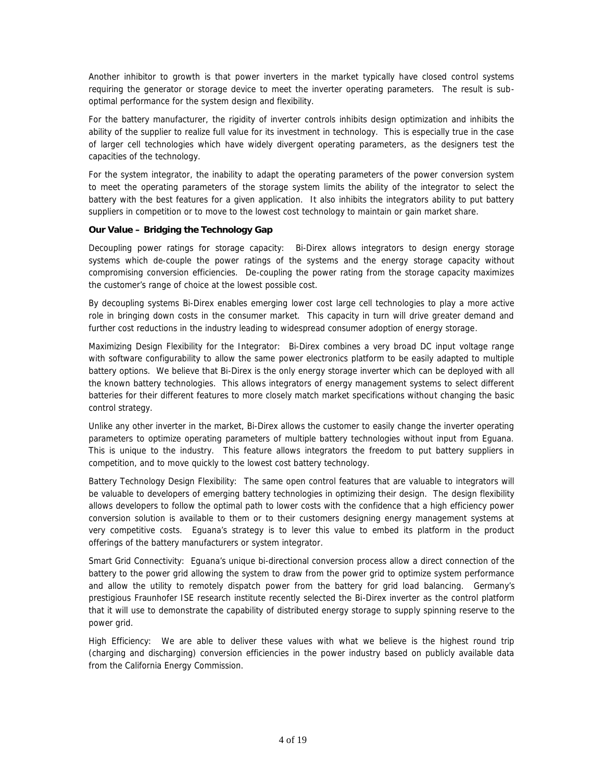Another inhibitor to growth is that power inverters in the market typically have closed control systems requiring the generator or storage device to meet the inverter operating parameters. The result is sub optimal performance for the system design and flexibility.

For the battery manufacturer, the rigidity of inverter controls inhibits design optimization and inhibits the ability of the supplier to realize full value for its investment in technology. This is especially true in the case of larger cell technologies which have widely divergent operating parameters, as the designers test the capacities of the technology.

For the system integrator, the inability to adapt the operating parameters of the power conversion system to meet the operating parameters of the storage system limits the ability of the integrator to select the battery with the best features for a given application. It also inhibits the integrators ability to put battery suppliers in competition or to move to the lowest cost technology to maintain or gain market share.

# *Our Value – Bridging the Technology Gap*

*Decoupling power ratings for storage capacity:* Bi-Direx allows integrators to design energy storage systems which de-couple the power ratings of the systems and the energy storage capacity without compromising conversion efficiencies. De-coupling the power rating from the storage capacity maximizes the customer's range of choice at the lowest possible cost.

By decoupling systems Bi-Direx enables emerging lower cost large cell technologies to play a more active role in bringing down costs in the consumer market. This capacity in turn will drive greater demand and further cost reductions in the industry leading to widespread consumer adoption of energy storage.

*Maximizing Design Flexibility for the Integrator:* Bi-Direx combines a very broad DC input voltage range with software configurability to allow the same power electronics platform to be easily adapted to multiple battery options. We believe that Bi-Direx is the only energy storage inverter which can be deployed with all the known battery technologies. This allows integrators of energy management systems to select different batteries for their different features to more closely match market specifications without changing the basic control strategy.

Unlike any other inverter in the market, Bi-Direx allows the customer to easily change the inverter operating parameters to optimize operating parameters of multiple battery technologies without input from Eguana. This is unique to the industry. This feature allows integrators the freedom to put battery suppliers in competition, and to move quickly to the lowest cost battery technology.

*Battery Technology Design Flexibility:* The same open control features that are valuable to integrators will be valuable to developers of emerging battery technologies in optimizing their design. The design flexibility allows developers to follow the optimal path to lower costs with the confidence that a high efficiency power conversion solution is available to them or to their customers designing energy management systems at very competitive costs. Eguana's strategy is to lever this value to embed its platform in the product offerings of the battery manufacturers or system integrator.

*Smart Grid Connectivity:* Eguana's unique bi-directional conversion process allow a direct connection of the battery to the power grid allowing the system to draw from the power grid to optimize system performance and allow the utility to remotely dispatch power from the battery for grid load balancing. Germany's prestigious Fraunhofer ISE research institute recently selected the Bi-Direx inverter as the control platform that it will use to demonstrate the capability of distributed energy storage to supply spinning reserve to the power grid.

*High Efficiency:* We are able to deliver these values with what we believe is the highest round trip (charging and discharging) conversion efficiencies in the power industry based on publicly available data from the California Energy Commission.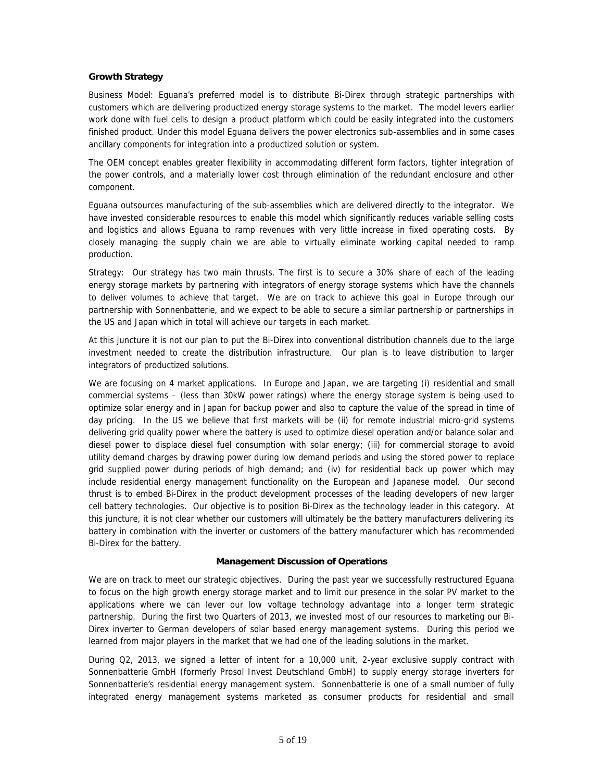# *Growth Strategy*

*Business Model:* Eguana's preferred model is to distribute Bi-Direx through strategic partnerships with customers which are delivering productized energy storage systems to the market. The model levers earlier work done with fuel cells to design a product platform which could be easily integrated into the customers finished product. Under this model Eguana delivers the power electronics sub-assemblies and in some cases ancillary components for integration into a productized solution or system.

The OEM concept enables greater flexibility in accommodating different form factors, tighter integration of the power controls, and a materially lower cost through elimination of the redundant enclosure and other component.

Eguana outsources manufacturing of the sub-assemblies which are delivered directly to the integrator. We have invested considerable resources to enable this model which significantly reduces variable selling costs and logistics and allows Eguana to ramp revenues with very little increase in fixed operating costs. By closely managing the supply chain we are able to virtually eliminate working capital needed to ramp production.

*Strategy:* Our strategy has two main thrusts. The first is to secure a 30% share of each of the leading energy storage markets by partnering with integrators of energy storage systems which have the channels to deliver volumes to achieve that target. We are on track to achieve this goal in Europe through our partnership with Sonnenbatterie, and we expect to be able to secure a similar partnership or partnerships in the US and Japan which in total will achieve our targets in each market.

At this juncture it is not our plan to put the Bi-Direx into conventional distribution channels due to the large investment needed to create the distribution infrastructure. Our plan is to leave distribution to larger integrators of productized solutions.

We are focusing on 4 market applications. In Europe and Japan, we are targeting (i) residential and small commercial systems – (less than 30kW power ratings) where the energy storage system is being used to optimize solar energy and in Japan for backup power and also to capture the value of the spread in time of day pricing. In the US we believe that first markets will be (ii) for remote industrial micro-grid systems delivering grid quality power where the battery is used to optimize diesel operation and/or balance solar and diesel power to displace diesel fuel consumption with solar energy; (iii) for commercial storage to avoid utility demand charges by drawing power during low demand periods and using the stored power to replace grid supplied power during periods of high demand; and (iv) for residential back up power which may include residential energy management functionality on the European and Japanese model. Our second thrust is to embed Bi-Direx in the product development processes of the leading developers of new larger cell battery technologies. Our objective is to position Bi-Direx as the technology leader in this category. At this juncture, it is not clear whether our customers will ultimately be the battery manufacturers delivering its battery in combination with the inverter or customers of the battery manufacturer which has recommended Bi-Direx for the battery.

### **Management Discussion of Operations**

We are on track to meet our strategic objectives. During the past year we successfully restructured Eguana to focus on the high growth energy storage market and to limit our presence in the solar PV market to the applications where we can lever our low voltage technology advantage into a longer term strategic partnership. During the first two Quarters of 2013, we invested most of our resources to marketing our Bi- Direx inverter to German developers of solar based energy management systems. During this period we learned from major players in the market that we had one of the leading solutions in the market.

During Q2, 2013, we signed a letter of intent for a 10,000 unit, 2-year exclusive supply contract with Sonnenbatterie GmbH (formerly Prosol Invest Deutschland GmbH) to supply energy storage inverters for Sonnenbatterie's residential energy management system. Sonnenbatterie is one of a small number of fully integrated energy management systems marketed as consumer products for residential and small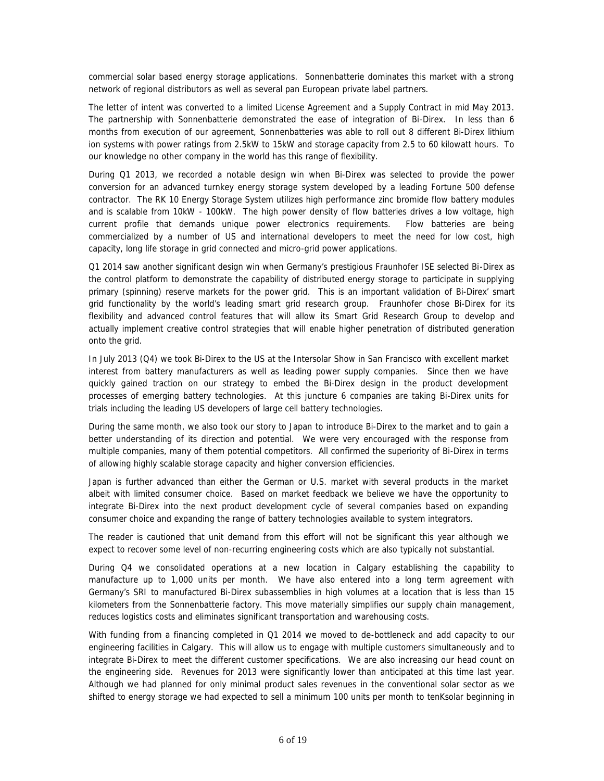commercial solar based energy storage applications. Sonnenbatterie dominates this market with a strong network of regional distributors as well as several pan European private label partners.

The letter of intent was converted to a limited License Agreement and a Supply Contract in mid May 2013. The partnership with Sonnenbatterie demonstrated the ease of integration of Bi-Direx. In less than 6 months from execution of our agreement, Sonnenbatteries was able to roll out 8 different Bi-Direx lithium ion systems with power ratings from 2.5kW to 15kW and storage capacity from 2.5 to 60 kilowatt hours. To our knowledge no other company in the world has this range of flexibility.

During Q1 2013, we recorded a notable design win when Bi-Direx was selected to provide the power conversion for an advanced turnkey energy storage system developed by a leading Fortune 500 defense contractor. The RK 10 Energy Storage System utilizes high performance zinc bromide flow battery modules and is scalable from 10kW - 100kW. The high power density of flow batteries drives a low voltage, high current profile that demands unique power electronics requirements. Flow batteries are being commercialized by a number of US and international developers to meet the need for low cost, high capacity, long life storage in grid connected and micro-grid power applications.

Q1 2014 saw another significant design win when Germany's prestigious Fraunhofer ISE selected Bi-Direx as the control platform to demonstrate the capability of distributed energy storage to participate in supplying primary (spinning) reserve markets for the power grid. This is an important validation of Bi-Direx' smart grid functionality by the world's leading smart grid research group. Fraunhofer chose Bi-Direx for its flexibility and advanced control features that will allow its Smart Grid Research Group to develop and actually implement creative control strategies that will enable higher penetration of distributed generation onto the grid.

In July 2013 (Q4) we took Bi-Direx to the US at the Intersolar Show in San Francisco with excellent market interest from battery manufacturers as well as leading power supply companies. Since then we have quickly gained traction on our strategy to embed the Bi-Direx design in the product development processes of emerging battery technologies. At this juncture 6 companies are taking Bi-Direx units for trials including the leading US developers of large cell battery technologies.

During the same month, we also took our story to Japan to introduce Bi-Direx to the market and to gain a better understanding of its direction and potential. We were very encouraged with the response from multiple companies, many of them potential competitors. All confirmed the superiority of Bi-Direx in terms of allowing highly scalable storage capacity and higher conversion efficiencies.

Japan is further advanced than either the German or U.S. market with several products in the market albeit with limited consumer choice. Based on market feedback we believe we have the opportunity to integrate Bi-Direx into the next product development cycle of several companies based on expanding consumer choice and expanding the range of battery technologies available to system integrators.

*The reader is cautioned that unit demand from this effort will not be significant this year although we expect to recover some level of non-recurring engineering costs which are also typically not substantial.*

During Q4 we consolidated operations at a new location in Calgary establishing the capability to manufacture up to 1,000 units per month. We have also entered into a long term agreement with Germany's SRI to manufactured Bi-Direx subassemblies in high volumes at a location that is less than 15 kilometers from the Sonnenbatterie factory. This move materially simplifies our supply chain management, reduces logistics costs and eliminates significant transportation and warehousing costs.

With funding from a financing completed in Q1 2014 we moved to de-bottleneck and add capacity to our engineering facilities in Calgary. This will allow us to engage with multiple customers simultaneously and to integrate Bi-Direx to meet the different customer specifications. We are also increasing our head count on the engineering side. Revenues for 2013 were significantly lower than anticipated at this time last year. Although we had planned for only minimal product sales revenues in the conventional solar sector as we shifted to energy storage we had expected to sell a minimum 100 units per month to tenKsolar beginning in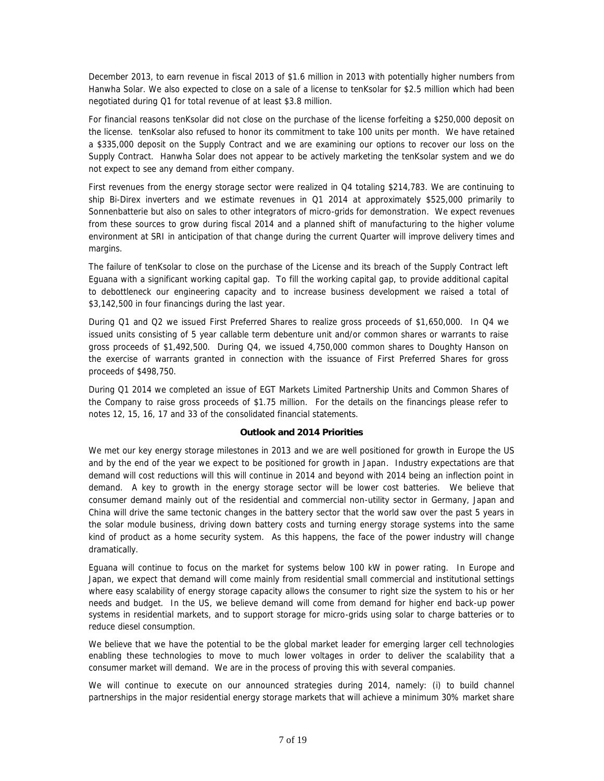December 2013, to earn revenue in fiscal 2013 of \$1.6 million in 2013 with potentially higher numbers from Hanwha Solar. We also expected to close on a sale of a license to tenKsolar for \$2.5 million which had been negotiated during Q1 for total revenue of at least \$3.8 million.

For financial reasons tenKsolar did not close on the purchase of the license forfeiting a \$250,000 deposit on the license. tenKsolar also refused to honor its commitment to take 100 units per month. We have retained a \$335,000 deposit on the Supply Contract and we are examining our options to recover our loss on the Supply Contract. Hanwha Solar does not appear to be actively marketing the tenKsolar system and we do not expect to see any demand from either company.

First revenues from the energy storage sector were realized in Q4 totaling \$214,783. We are continuing to ship Bi-Direx inverters and we estimate revenues in Q1 2014 at approximately \$525,000 primarily to Sonnenbatterie but also on sales to other integrators of micro-grids for demonstration. We expect revenues from these sources to grow during fiscal 2014 and a planned shift of manufacturing to the higher volume environment at SRI in anticipation of that change during the current Quarter will improve delivery times and margins.

The failure of tenKsolar to close on the purchase of the License and its breach of the Supply Contract left Eguana with a significant working capital gap. To fill the working capital gap, to provide additional capital to debottleneck our engineering capacity and to increase business development we raised a total of \$3,142,500 in four financings during the last year.

During Q1 and Q2 we issued First Preferred Shares to realize gross proceeds of \$1,650,000. In Q4 we issued units consisting of 5 year callable term debenture unit and/or common shares or warrants to raise gross proceeds of \$1,492,500. During Q4, we issued 4,750,000 common shares to Doughty Hanson on the exercise of warrants granted in connection with the issuance of First Preferred Shares for gross proceeds of \$498,750.

During Q1 2014 we completed an issue of EGT Markets Limited Partnership Units and Common Shares of the Company to raise gross proceeds of \$1.75 million. For the details on the financings please refer to notes 12, 15, 16, 17 and 33 of the consolidated financial statements.

### **Outlook and 2014 Priorities**

We met our key energy storage milestones in 2013 and we are well positioned for growth in Europe the US and by the end of the year we expect to be positioned for growth in Japan. Industry expectations are that demand will cost reductions will this will continue in 2014 and beyond with 2014 being an inflection point in demand. A key to growth in the energy storage sector will be lower cost batteries. We believe that consumer demand mainly out of the residential and commercial non-utility sector in Germany, Japan and China will drive the same tectonic changes in the battery sector that the world saw over the past 5 years in the solar module business, driving down battery costs and turning energy storage systems into the same kind of product as a home security system. As this happens, the face of the power industry will change dramatically.

Eguana will continue to focus on the market for systems below 100 kW in power rating. In Europe and Japan, we expect that demand will come mainly from residential small commercial and institutional settings where easy scalability of energy storage capacity allows the consumer to right size the system to his or her needs and budget. In the US, we believe demand will come from demand for higher end back-up power systems in residential markets, and to support storage for micro-grids using solar to charge batteries or to reduce diesel consumption.

We believe that we have the potential to be the global market leader for emerging larger cell technologies enabling these technologies to move to much lower voltages in order to deliver the scalability that a consumer market will demand. We are in the process of proving this with several companies.

We will continue to execute on our announced strategies during 2014, namely: (i) to build channel partnerships in the major residential energy storage markets that will achieve a minimum 30% market share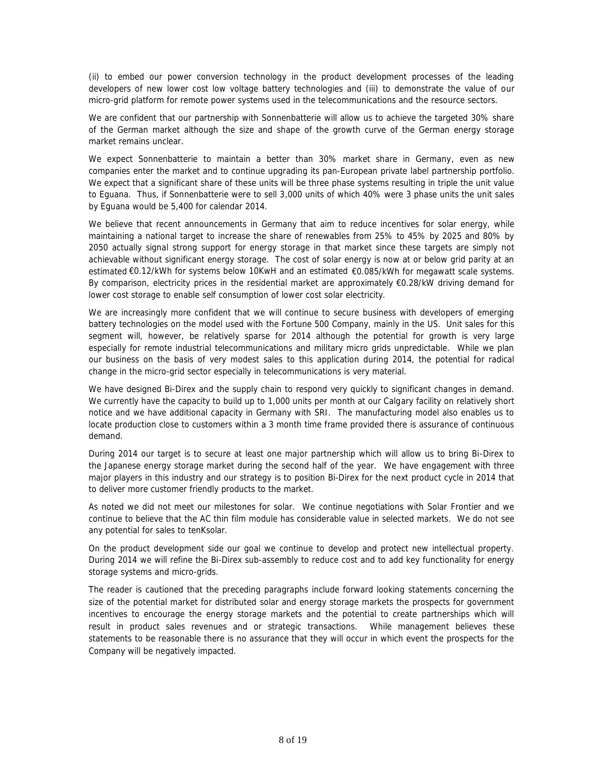(ii) to embed our power conversion technology in the product development processes of the leading developers of new lower cost low voltage battery technologies and (iii) to demonstrate the value of our micro-grid platform for remote power systems used in the telecommunications and the resource sectors.

We are confident that our partnership with Sonnenbatterie will allow us to achieve the targeted 30% share of the German market although the size and shape of the growth curve of the German energy storage market remains unclear.

We expect Sonnenbatterie to maintain a better than 30% market share in Germany, even as new companies enter the market and to continue upgrading its pan-European private label partnership portfolio. We expect that a significant share of these units will be three phase systems resulting in triple the unit value to Eguana. Thus, if Sonnenbatterie were to sell 3,000 units of which 40% were 3 phase units the unit sales by Eguana would be 5,400 for calendar 2014.

We believe that recent announcements in Germany that aim to reduce incentives for solar energy, while maintaining a national target to increase the share of renewables from 25% to 45% by 2025 and 80% by 2050 actually signal strong support for energy storage in that market since these targets are simply not achievable without significant energy storage. The cost of solar energy is now at or below grid parity at an estimated €0.12/kWh for systems below 10KwH and an estimated €0.085/kWh for megawatt scale systems. By comparison, electricity prices in the residential market are approximately €0.28/kW driving demand for lower cost storage to enable self consumption of lower cost solar electricity.

We are increasingly more confident that we will continue to secure business with developers of emerging battery technologies on the model used with the Fortune 500 Company, mainly in the US. Unit sales for this segment will, however, be relatively sparse for 2014 although the potential for growth is very large especially for remote industrial telecommunications and military micro grids unpredictable. While we plan our business on the basis of very modest sales to this application during 2014, the potential for radical change in the micro-grid sector especially in telecommunications is very material.

We have designed Bi-Direx and the supply chain to respond very quickly to significant changes in demand. We currently have the capacity to build up to 1,000 units per month at our Calgary facility on relatively short notice and we have additional capacity in Germany with SRI. The manufacturing model also enables us to locate production close to customers within a 3 month time frame provided there is assurance of continuous demand.

During 2014 our target is to secure at least one major partnership which will allow us to bring Bi-Direx to the Japanese energy storage market during the second half of the year. We have engagement with three major players in this industry and our strategy is to position Bi-Direx for the next product cycle in 2014 that to deliver more customer friendly products to the market.

As noted we did not meet our milestones for solar. We continue negotiations with Solar Frontier and we continue to believe that the AC thin film module has considerable value in selected markets. We do not see any potential for sales to tenKsolar.

On the product development side our goal we continue to develop and protect new intellectual property. During 2014 we will refine the Bi-Direx sub-assembly to reduce cost and to add key functionality for energy storage systems and micro-grids.

*The reader is cautioned that the preceding paragraphs include forward looking statements concerning the size of the potential market for distributed solar and energy storage markets the prospects for government incentives to encourage the energy storage markets and the potential to create partnerships which will result in product sales revenues and or strategic transactions. While management believes these statements to be reasonable there is no assurance that they will occur in which event the prospects for the Company will be negatively impacted.*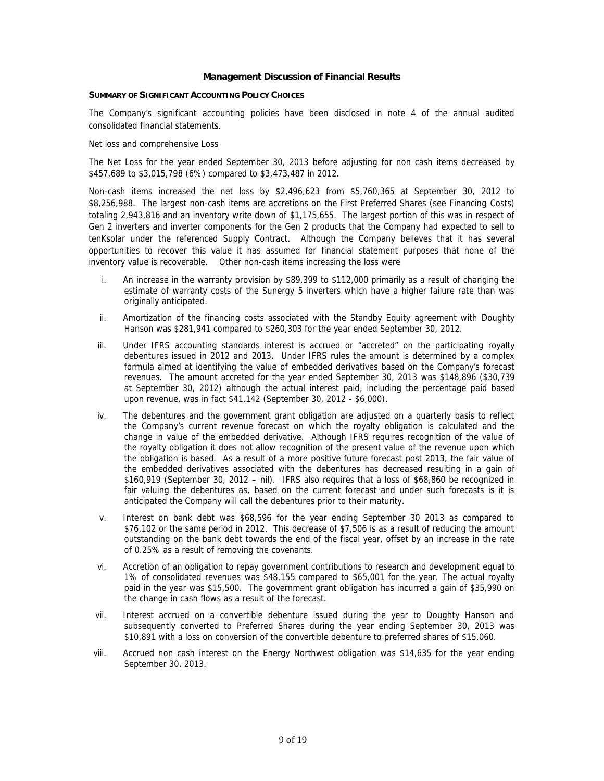### **Management Discussion of Financial Results**

### **SUMMARY OF SIGNIFICANT ACCOUNTING POLICY CHOICES**

The Company's significant accounting policies have been disclosed in note 4 of the annual audited consolidated financial statements.

### *Net loss and comprehensive Loss*

The Net Loss for the year ended September 30, 2013 before adjusting for non cash items decreased by \$457,689 to \$3,015,798 (6%) compared to \$3,473,487 in 2012.

Non-cash items increased the net loss by \$2,496,623 from \$5,760,365 at September 30, 2012 to \$8,256,988. The largest non-cash items are accretions on the First Preferred Shares (see Financing Costs) totaling 2,943,816 and an inventory write down of \$1,175,655. The largest portion of this was in respect of Gen 2 inverters and inverter components for the Gen 2 products that the Company had expected to sell to tenKsolar under the referenced Supply Contract. Although the Company believes that it has several opportunities to recover this value it has assumed for financial statement purposes that none of the inventory value is recoverable. Other non-cash items increasing the loss were

- i. An increase in the warranty provision by \$89,399 to \$112,000 primarily as a result of changing the estimate of warranty costs of the Sunergy 5 inverters which have a higher failure rate than was originally anticipated.
- ii. Amortization of the financing costs associated with the Standby Equity agreement with Doughty Hanson was \$281,941 compared to \$260,303 for the year ended September 30, 2012.
- iii. Under IFRS accounting standards interest is accrued or "accreted" on the participating royalty debentures issued in 2012 and 2013. Under IFRS rules the amount is determined by a complex formula aimed at identifying the value of embedded derivatives based on the Company's forecast revenues. The amount accreted for the year ended September 30, 2013 was \$148,896 (\$30,739 at September 30, 2012) although the actual interest paid, including the percentage paid based upon revenue, was in fact \$41,142 (September 30, 2012 - \$6,000).
- iv. The debentures and the government grant obligation are adjusted on a quarterly basis to reflect the Company's current revenue forecast on which the royalty obligation is calculated and the change in value of the embedded derivative. Although IFRS requires recognition of the value of the royalty obligation it does not allow recognition of the present value of the revenue upon which the obligation is based. As a result of a more positive future forecast post 2013, the fair value of the embedded derivatives associated with the debentures has decreased resulting in a gain of \$160,919 (September 30, 2012 – nil). IFRS also requires that a loss of \$68,860 be recognized in fair valuing the debentures as, based on the current forecast and under such forecasts is it is anticipated the Company will call the debentures prior to their maturity.
- v. Interest on bank debt was \$68,596 for the year ending September 30 2013 as compared to \$76,102 or the same period in 2012. This decrease of \$7,506 is as a result of reducing the amount outstanding on the bank debt towards the end of the fiscal year, offset by an increase in the rate of 0.25% as a result of removing the covenants.
- vi. Accretion of an obligation to repay government contributions to research and development equal to 1% of consolidated revenues was \$48,155 compared to \$65,001 for the year. The actual royalty paid in the year was \$15,500. The government grant obligation has incurred a gain of \$35,990 on the change in cash flows as a result of the forecast.
- vii. Interest accrued on a convertible debenture issued during the year to Doughty Hanson and subsequently converted to Preferred Shares during the year ending September 30, 2013 was \$10,891 with a loss on conversion of the convertible debenture to preferred shares of \$15,060.
- viii. Accrued non cash interest on the Energy Northwest obligation was \$14,635 for the year ending September 30, 2013.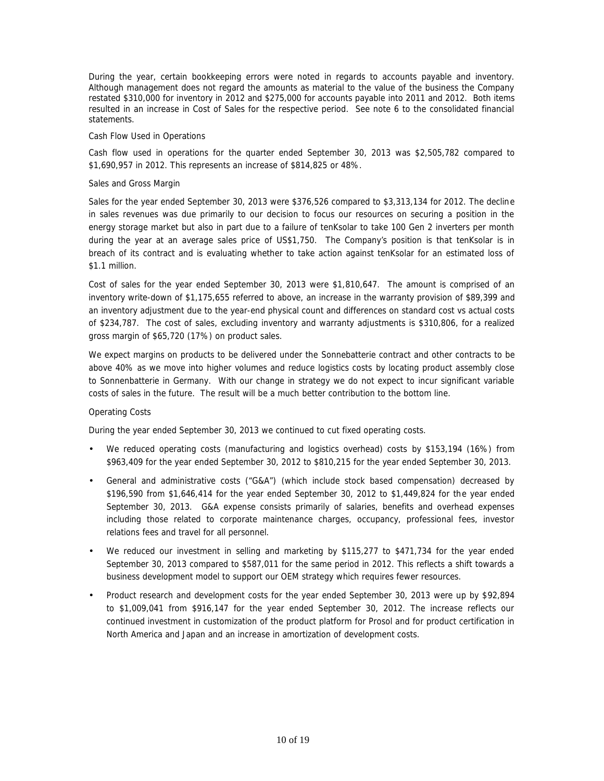During the year, certain bookkeeping errors were noted in regards to accounts payable and inventory. Although management does not regard the amounts as material to the value of the business the Company restated \$310,000 for inventory in 2012 and \$275,000 for accounts payable into 2011 and 2012. Both items resulted in an increase in Cost of Sales for the respective period. See note 6 to the consolidated financial statements.

### *Cash Flow Used in Operations*

Cash flow used in operations for the quarter ended September 30, 2013 was \$2,505,782 compared to \$1,690,957 in 2012. This represents an increase of \$814,825 or 48%.

# *Sales and Gross Margin*

Sales for the year ended September 30, 2013 were \$376,526 compared to \$3,313,134 for 2012. The decline in sales revenues was due primarily to our decision to focus our resources on securing a position in the energy storage market but also in part due to a failure of tenKsolar to take 100 Gen 2 inverters per month during the year at an average sales price of US\$1,750. The Company's position is that tenKsolar is in breach of its contract and is evaluating whether to take action against tenKsolar for an estimated loss of \$1.1 million.

Cost of sales for the year ended September 30, 2013 were \$1,810,647. The amount is comprised of an inventory write-down of \$1,175,655 referred to above, an increase in the warranty provision of \$89,399 and an inventory adjustment due to the year-end physical count and differences on standard cost vs actual costs of \$234,787. The cost of sales, excluding inventory and warranty adjustments is \$310,806, for a realized gross margin of \$65,720 (17%) on product sales.

We expect margins on products to be delivered under the Sonnebatterie contract and other contracts to be above 40% as we move into higher volumes and reduce logistics costs by locating product assembly close to Sonnenbatterie in Germany. With our change in strategy we do not expect to incur significant variable costs of sales in the future. The result will be a much better contribution to the bottom line.

# *Operating Costs*

During the year ended September 30, 2013 we continued to cut fixed operating costs.

- We reduced operating costs (manufacturing and logistics overhead) costs by \$153,194 (16%) from \$963,409 for the year ended September 30, 2012 to \$810,215 for the year ended September 30, 2013.
- General and administrative costs ("G&A") (which include stock based compensation) decreased by \$196,590 from \$1,646,414 for the year ended September 30, 2012 to \$1,449,824 for the year ended September 30, 2013. G&A expense consists primarily of salaries, benefits and overhead expenses including those related to corporate maintenance charges, occupancy, professional fees, investor relations fees and travel for all personnel.
- We reduced our investment in selling and marketing by \$115,277 to \$471,734 for the year ended September 30, 2013 compared to \$587,011 for the same period in 2012. This reflects a shift towards a business development model to support our OEM strategy which requires fewer resources.
- Product research and development costs for the year ended September 30, 2013 were up by \$92,894 to \$1,009,041 from \$916,147 for the year ended September 30, 2012. The increase reflects our continued investment in customization of the product platform for Prosol and for product certification in North America and Japan and an increase in amortization of development costs.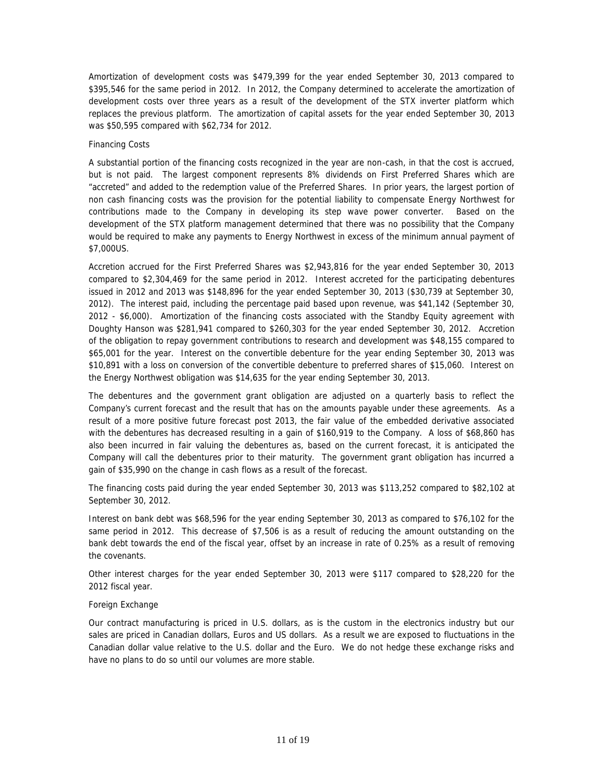Amortization of development costs was \$479,399 for the year ended September 30, 2013 compared to \$395,546 for the same period in 2012. In 2012, the Company determined to accelerate the amortization of development costs over three years as a result of the development of the STX inverter platform which replaces the previous platform. The amortization of capital assets for the year ended September 30, 2013 was \$50,595 compared with \$62,734 for 2012.

# *Financing Costs*

A substantial portion of the financing costs recognized in the year are non-cash, in that the cost is accrued, but is not paid. The largest component represents 8% dividends on First Preferred Shares which are "accreted" and added to the redemption value of the Preferred Shares. In prior years, the largest portion of non cash financing costs was the provision for the potential liability to compensate Energy Northwest for contributions made to the Company in developing its step wave power converter. Based on the development of the STX platform management determined that there was no possibility that the Company would be required to make any payments to Energy Northwest in excess of the minimum annual payment of \$7,000US.

Accretion accrued for the First Preferred Shares was \$2,943,816 for the year ended September 30, 2013 compared to \$2,304,469 for the same period in 2012. Interest accreted for the participating debentures issued in 2012 and 2013 was \$148,896 for the year ended September 30, 2013 (\$30,739 at September 30, 2012). The interest paid, including the percentage paid based upon revenue, was \$41,142 (September 30, 2012 - \$6,000). Amortization of the financing costs associated with the Standby Equity agreement with Doughty Hanson was \$281,941 compared to \$260,303 for the year ended September 30, 2012. Accretion of the obligation to repay government contributions to research and development was \$48,155 compared to \$65,001 for the year. Interest on the convertible debenture for the year ending September 30, 2013 was \$10,891 with a loss on conversion of the convertible debenture to preferred shares of \$15,060. Interest on the Energy Northwest obligation was \$14,635 for the year ending September 30, 2013.

The debentures and the government grant obligation are adjusted on a quarterly basis to reflect the Company's current forecast and the result that has on the amounts payable under these agreements. As a result of a more positive future forecast post 2013, the fair value of the embedded derivative associated with the debentures has decreased resulting in a gain of \$160,919 to the Company. A loss of \$68,860 has also been incurred in fair valuing the debentures as, based on the current forecast, it is anticipated the Company will call the debentures prior to their maturity. The government grant obligation has incurred a gain of \$35,990 on the change in cash flows as a result of the forecast.

The financing costs paid during the year ended September 30, 2013 was \$113,252 compared to \$82,102 at September 30, 2012.

Interest on bank debt was \$68,596 for the year ending September 30, 2013 as compared to \$76,102 for the same period in 2012. This decrease of \$7,506 is as a result of reducing the amount outstanding on the bank debt towards the end of the fiscal year, offset by an increase in rate of 0.25% as a result of removing the covenants.

Other interest charges for the year ended September 30, 2013 were \$117 compared to \$28,220 for the 2012 fiscal year.

### *Foreign Exchange*

Our contract manufacturing is priced in U.S. dollars, as is the custom in the electronics industry but our sales are priced in Canadian dollars, Euros and US dollars. As a result we are exposed to fluctuations in the Canadian dollar value relative to the U.S. dollar and the Euro. We do not hedge these exchange risks and have no plans to do so until our volumes are more stable.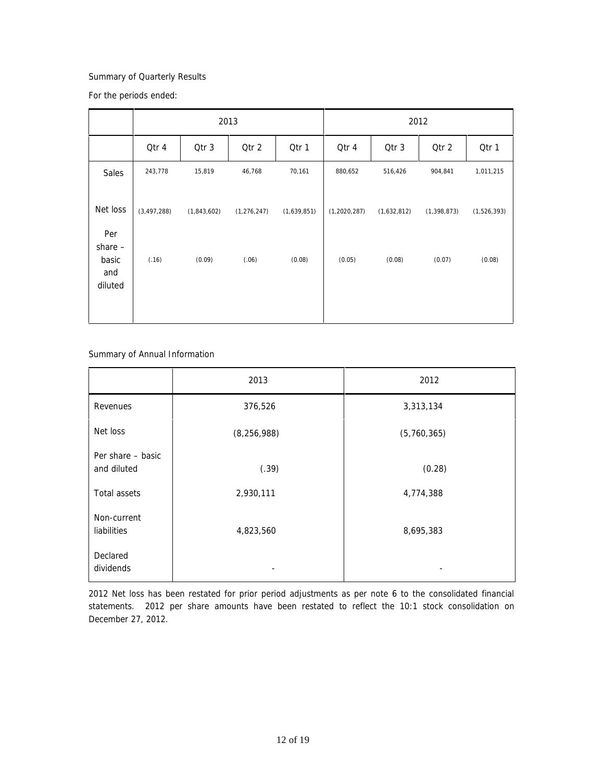# *Summary of Quarterly Results*

For the periods ended:

|                                      |               |             | 2013          |             |                |             | 2012          |             |
|--------------------------------------|---------------|-------------|---------------|-------------|----------------|-------------|---------------|-------------|
|                                      | Qtr 4         | Qtr 3       | Qtr 2         | Qtr 1       | Qtr 4          | Qtr 3       | Qtr 2         | Qtr 1       |
| Sales                                | 243,778       | 15,819      | 46,768        | 70,161      | 880,652        | 516,426     | 904,841       | 1,011,215   |
| Net loss<br>Per                      | (3, 497, 288) | (1,843,602) | (1, 276, 247) | (1,639,851) | (1, 2020, 287) | (1,632,812) | (1, 398, 873) | (1,526,393) |
| share $-$<br>basic<br>and<br>diluted | (.16)         | (0.09)      | (.06)         | (0.08)      | (0.05)         | (0.08)      | (0.07)        | (0.08)      |

*Summary of Annual Information*

|                                  | 2013          | 2012        |
|----------------------------------|---------------|-------------|
| Revenues                         | 376,526       | 3,313,134   |
| Net loss                         | (8, 256, 988) | (5,760,365) |
| Per share - basic<br>and diluted | (.39)         | (0.28)      |
| Total assets                     | 2,930,111     | 4,774,388   |
| Non-current<br>liabilities       | 4,823,560     | 8,695,383   |
| Declared<br>dividends            |               |             |

2012 Net loss has been restated for prior period adjustments as per note 6 to the consolidated financial statements. 2012 per share amounts have been restated to reflect the 10:1 stock consolidation on December 27, 2012.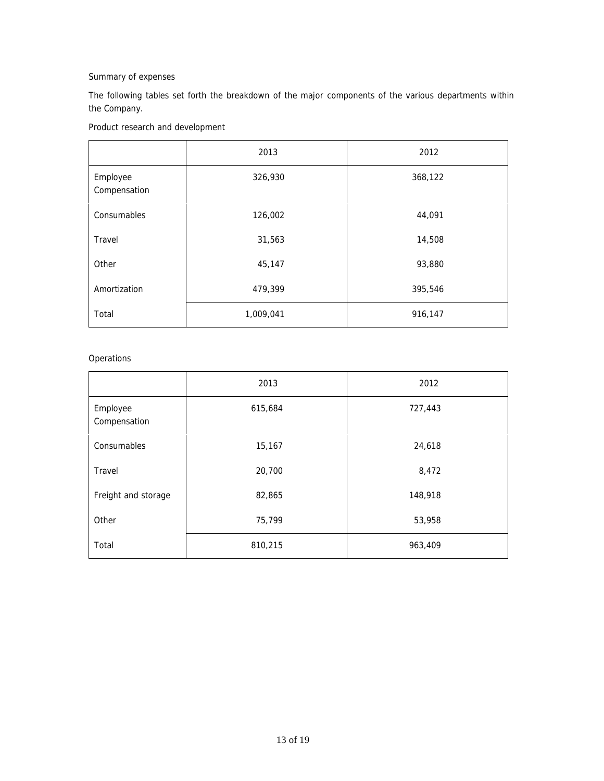# *Summary of expenses*

The following tables set forth the breakdown of the major components of the various departments within the Company.

*Product research and development*

|                          | 2013      | 2012    |
|--------------------------|-----------|---------|
| Employee<br>Compensation | 326,930   | 368,122 |
| Consumables              | 126,002   | 44,091  |
| Travel                   | 31,563    | 14,508  |
| Other                    | 45,147    | 93,880  |
| Amortization             | 479,399   | 395,546 |
| Total                    | 1,009,041 | 916,147 |

# *Operations*

|                          | 2013    | 2012    |
|--------------------------|---------|---------|
| Employee<br>Compensation | 615,684 | 727,443 |
| Consumables              | 15,167  | 24,618  |
| Travel                   | 20,700  | 8,472   |
| Freight and storage      | 82,865  | 148,918 |
| Other                    | 75,799  | 53,958  |
| Total                    | 810,215 | 963,409 |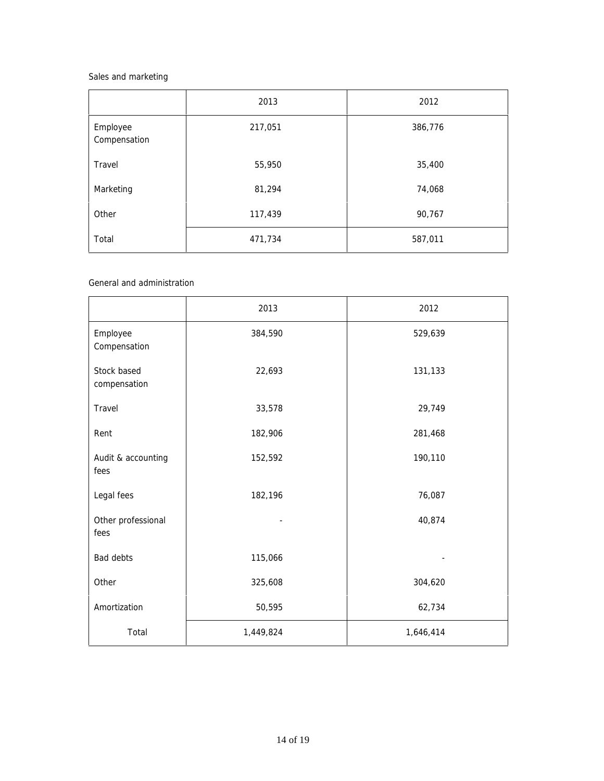# *Sales and marketing*

|                          | 2013    | 2012    |
|--------------------------|---------|---------|
| Employee<br>Compensation | 217,051 | 386,776 |
| Travel                   | 55,950  | 35,400  |
| Marketing                | 81,294  | 74,068  |
| Other                    | 117,439 | 90,767  |
| Total                    | 471,734 | 587,011 |

*General and administration*

|                             | 2013      | 2012      |
|-----------------------------|-----------|-----------|
| Employee<br>Compensation    | 384,590   | 529,639   |
| Stock based<br>compensation | 22,693    | 131,133   |
| Travel                      | 33,578    | 29,749    |
| Rent                        | 182,906   | 281,468   |
| Audit & accounting<br>fees  | 152,592   | 190,110   |
| Legal fees                  | 182,196   | 76,087    |
| Other professional<br>fees  |           | 40,874    |
| Bad debts                   | 115,066   |           |
| Other                       | 325,608   | 304,620   |
| Amortization                | 50,595    | 62,734    |
| Total                       | 1,449,824 | 1,646,414 |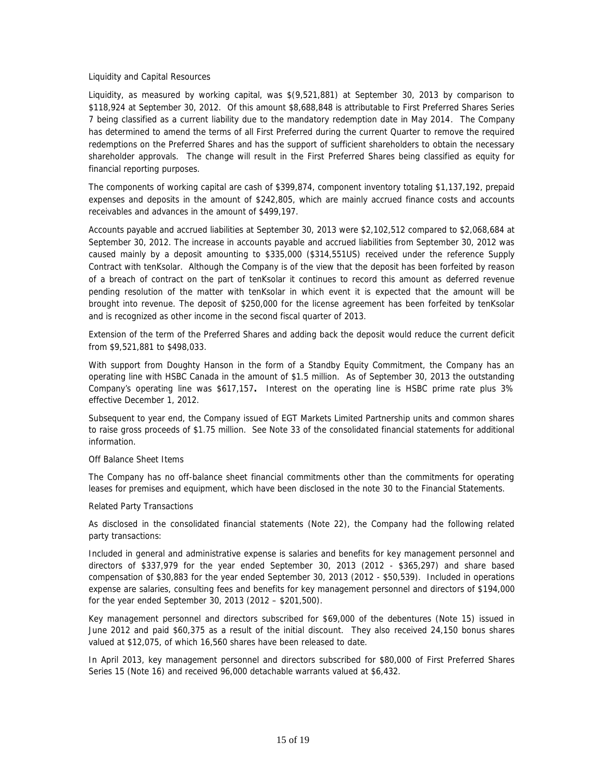### *Liquidity and Capital Resources*

Liquidity, as measured by working capital, was \$(9,521,881) at September 30, 2013 by comparison to \$118,924 at September 30, 2012. Of this amount \$8,688,848 is attributable to First Preferred Shares Series 7 being classified as a current liability due to the mandatory redemption date in May 2014. The Company has determined to amend the terms of all First Preferred during the current Quarter to remove the required redemptions on the Preferred Shares and has the support of sufficient shareholders to obtain the necessary shareholder approvals. The change will result in the First Preferred Shares being classified as equity for financial reporting purposes.

The components of working capital are cash of \$399,874, component inventory totaling \$1,137,192, prepaid expenses and deposits in the amount of \$242,805, which are mainly accrued finance costs and accounts receivables and advances in the amount of \$499,197.

Accounts payable and accrued liabilities at September 30, 2013 were \$2,102,512 compared to \$2,068,684 at September 30, 2012. The increase in accounts payable and accrued liabilities from September 30, 2012 was caused mainly by a deposit amounting to \$335,000 (\$314,551US) received under the reference Supply Contract with tenKsolar. Although the Company is of the view that the deposit has been forfeited by reason of a breach of contract on the part of tenKsolar it continues to record this amount as deferred revenue pending resolution of the matter with tenKsolar in which event it is expected that the amount will be brought into revenue. The deposit of \$250,000 for the license agreement has been forfeited by tenKsolar and is recognized as other income in the second fiscal quarter of 2013.

Extension of the term of the Preferred Shares and adding back the deposit would reduce the current deficit from \$9,521,881 to \$498,033.

With support from Doughty Hanson in the form of a Standby Equity Commitment, the Company has an operating line with HSBC Canada in the amount of \$1.5 million. As of September 30, 2013 the outstanding Company's operating line was \$617,157**.** Interest on the operating line is HSBC prime rate plus 3% effective December 1, 2012.

Subsequent to year end, the Company issued of EGT Markets Limited Partnership units and common shares to raise gross proceeds of \$1.75 million. See Note 33 of the consolidated financial statements for additional information.

### *Off Balance Sheet Items*

The Company has no off-balance sheet financial commitments other than the commitments for operating leases for premises and equipment, which have been disclosed in the note 30 to the Financial Statements.

### *Related Party Transactions*

As disclosed in the consolidated financial statements (Note 22), the Company had the following related party transactions:

Included in general and administrative expense is salaries and benefits for key management personnel and directors of \$337,979 for the year ended September 30, 2013 (2012 - \$365,297) and share based compensation of \$30,883 for the year ended September 30, 2013 (2012 - \$50,539). Included in operations expense are salaries, consulting fees and benefits for key management personnel and directors of \$194,000 for the year ended September 30, 2013 (2012 – \$201,500).

Key management personnel and directors subscribed for \$69,000 of the debentures (Note 15) issued in June 2012 and paid \$60,375 as a result of the initial discount. They also received 24,150 bonus shares valued at \$12,075, of which 16,560 shares have been released to date.

In April 2013, key management personnel and directors subscribed for \$80,000 of First Preferred Shares Series 15 (Note 16) and received 96,000 detachable warrants valued at \$6,432.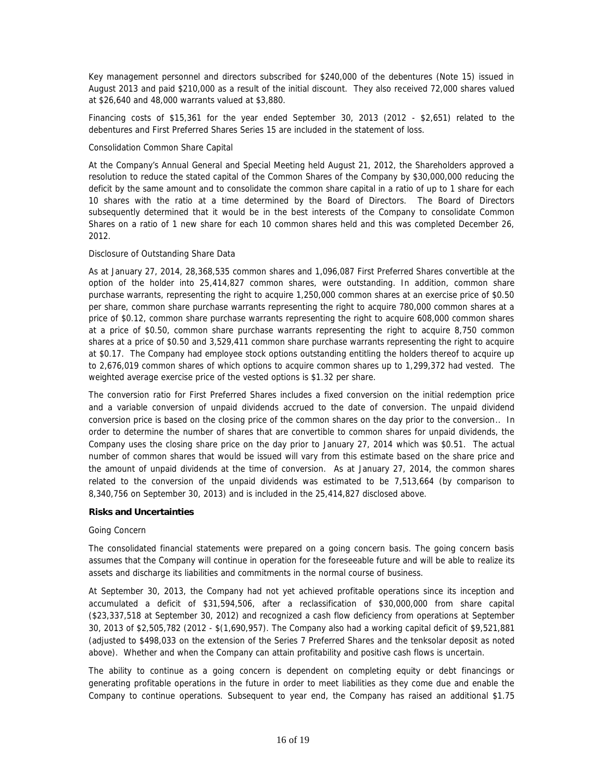Key management personnel and directors subscribed for \$240,000 of the debentures (Note 15) issued in August 2013 and paid \$210,000 as a result of the initial discount. They also received 72,000 shares valued at \$26,640 and 48,000 warrants valued at \$3,880.

Financing costs of \$15,361 for the year ended September 30, 2013 (2012 - \$2,651) related to the debentures and First Preferred Shares Series 15 are included in the statement of loss.

### *Consolidation Common Share Capital*

At the Company's Annual General and Special Meeting held August 21, 2012, the Shareholders approved a resolution to reduce the stated capital of the Common Shares of the Company by \$30,000,000 reducing the deficit by the same amount and to consolidate the common share capital in a ratio of up to 1 share for each 10 shares with the ratio at a time determined by the Board of Directors. The Board of Directors subsequently determined that it would be in the best interests of the Company to consolidate Common Shares on a ratio of 1 new share for each 10 common shares held and this was completed December 26, 2012.

### *Disclosure of Outstanding Share Data*

As at January 27, 2014, 28,368,535 common shares and 1,096,087 First Preferred Shares convertible at the option of the holder into 25,414,827 common shares, were outstanding. In addition, common share purchase warrants, representing the right to acquire 1,250,000 common shares at an exercise price of \$0.50 per share, common share purchase warrants representing the right to acquire 780,000 common shares at a price of \$0.12, common share purchase warrants representing the right to acquire 608,000 common shares at a price of \$0.50, common share purchase warrants representing the right to acquire 8,750 common shares at a price of \$0.50 and 3,529,411 common share purchase warrants representing the right to acquire at \$0.17. The Company had employee stock options outstanding entitling the holders thereof to acquire up to 2,676,019 common shares of which options to acquire common shares up to 1,299,372 had vested. The weighted average exercise price of the vested options is \$1.32 per share.

The conversion ratio for First Preferred Shares includes a fixed conversion on the initial redemption price and a variable conversion of unpaid dividends accrued to the date of conversion. The unpaid dividend conversion price is based on the closing price of the common shares on the day prior to the conversion.. In order to determine the number of shares that are convertible to common shares for unpaid dividends, the Company uses the closing share price on the day prior to January 27, 2014 which was \$0.51. The actual number of common shares that would be issued will vary from this estimate based on the share price and the amount of unpaid dividends at the time of conversion. As at January 27, 2014, the common shares related to the conversion of the unpaid dividends was estimated to be 7,513,664 (by comparison to 8,340,756 on September 30, 2013) and is included in the 25,414,827 disclosed above.

**Risks and Uncertainties**

### *Going Concern*

The consolidated financial statements were prepared on a going concern basis. The going concern basis assumes that the Company will continue in operation for the foreseeable future and will be able to realize its assets and discharge its liabilities and commitments in the normal course of business.

At September 30, 2013, the Company had not yet achieved profitable operations since its inception and accumulated a deficit of \$31,594,506, after a reclassification of \$30,000,000 from share capital (\$23,337,518 at September 30, 2012) and recognized a cash flow deficiency from operations at September 30, 2013 of \$2,505,782 (2012 - \$(1,690,957). The Company also had a working capital deficit of \$9,521,881 (adjusted to \$498,033 on the extension of the Series 7 Preferred Shares and the tenksolar deposit as noted above). Whether and when the Company can attain profitability and positive cash flows is uncertain.

The ability to continue as a going concern is dependent on completing equity or debt financings or generating profitable operations in the future in order to meet liabilities as they come due and enable the Company to continue operations. Subsequent to year end, the Company has raised an additional \$1.75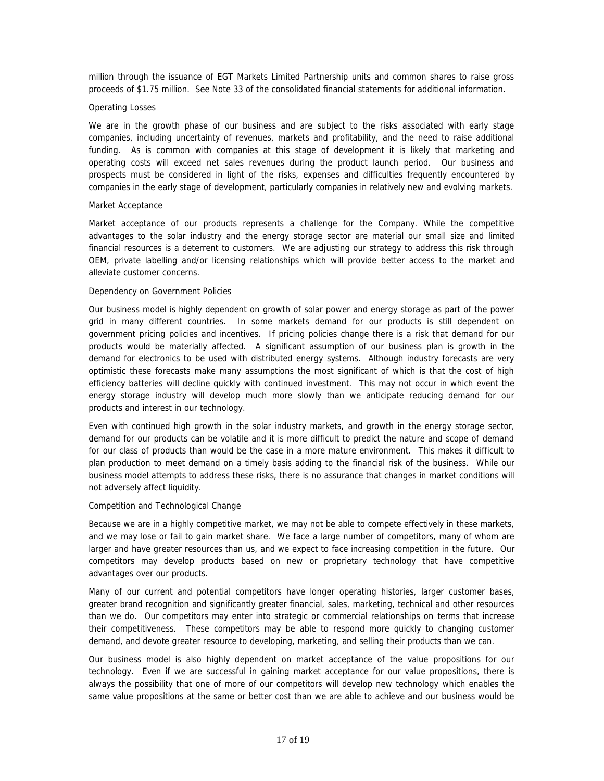million through the issuance of EGT Markets Limited Partnership units and common shares to raise gross proceeds of \$1.75 million. See Note 33 of the consolidated financial statements for additional information.

### *Operating Losses*

We are in the growth phase of our business and are subject to the risks associated with early stage companies, including uncertainty of revenues, markets and profitability, and the need to raise additional funding. As is common with companies at this stage of development it is likely that marketing and operating costs will exceed net sales revenues during the product launch period. Our business and prospects must be considered in light of the risks, expenses and difficulties frequently encountered by companies in the early stage of development, particularly companies in relatively new and evolving markets.

### *Market Acceptance*

Market acceptance of our products represents a challenge for the Company. While the competitive advantages to the solar industry and the energy storage sector are material our small size and limited financial resources is a deterrent to customers. We are adjusting our strategy to address this risk through OEM, private labelling and/or licensing relationships which will provide better access to the market and alleviate customer concerns.

### *Dependency on Government Policies*

Our business model is highly dependent on growth of solar power and energy storage as part of the power grid in many different countries. In some markets demand for our products is still dependent on government pricing policies and incentives. If pricing policies change there is a risk that demand for our products would be materially affected. A significant assumption of our business plan is growth in the demand for electronics to be used with distributed energy systems. Although industry forecasts are very optimistic these forecasts make many assumptions the most significant of which is that the cost of high efficiency batteries will decline quickly with continued investment. This may not occur in which event the energy storage industry will develop much more slowly than we anticipate reducing demand for our products and interest in our technology.

Even with continued high growth in the solar industry markets, and growth in the energy storage sector, demand for our products can be volatile and it is more difficult to predict the nature and scope of demand for our class of products than would be the case in a more mature environment. This makes it difficult to plan production to meet demand on a timely basis adding to the financial risk of the business. While our business model attempts to address these risks, there is no assurance that changes in market conditions will not adversely affect liquidity.

### *Competition and Technological Change*

Because we are in a highly competitive market, we may not be able to compete effectively in these markets, and we may lose or fail to gain market share. We face a large number of competitors, many of whom are larger and have greater resources than us, and we expect to face increasing competition in the future. Our competitors may develop products based on new or proprietary technology that have competitive advantages over our products.

Many of our current and potential competitors have longer operating histories, larger customer bases, greater brand recognition and significantly greater financial, sales, marketing, technical and other resources than we do. Our competitors may enter into strategic or commercial relationships on terms that increase their competitiveness. These competitors may be able to respond more quickly to changing customer demand, and devote greater resource to developing, marketing, and selling their products than we can.

Our business model is also highly dependent on market acceptance of the value propositions for our technology. Even if we are successful in gaining market acceptance for our value propositions, there is always the possibility that one of more of our competitors will develop new technology which enables the same value propositions at the same or better cost than we are able to achieve and our business would be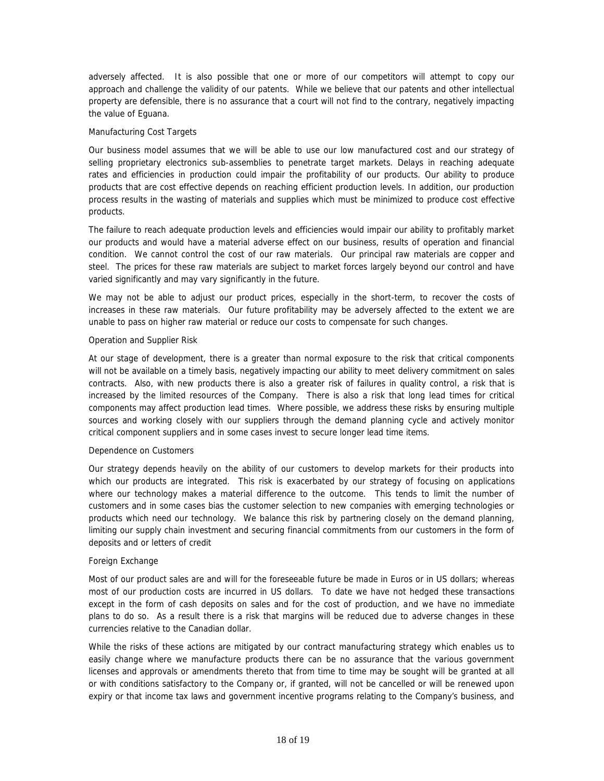adversely affected. It is also possible that one or more of our competitors will attempt to copy our approach and challenge the validity of our patents. While we believe that our patents and other intellectual property are defensible, there is no assurance that a court will not find to the contrary, negatively impacting the value of Eguana.

# *Manufacturing Cost Targets*

Our business model assumes that we will be able to use our low manufactured cost and our strategy of selling proprietary electronics sub-assemblies to penetrate target markets. Delays in reaching adequate rates and efficiencies in production could impair the profitability of our products. Our ability to produce products that are cost effective depends on reaching efficient production levels. In addition, our production process results in the wasting of materials and supplies which must be minimized to produce cost effective products.

The failure to reach adequate production levels and efficiencies would impair our ability to profitably market our products and would have a material adverse effect on our business, results of operation and financial condition. We cannot control the cost of our raw materials. Our principal raw materials are copper and steel. The prices for these raw materials are subject to market forces largely beyond our control and have varied significantly and may vary significantly in the future.

We may not be able to adjust our product prices, especially in the short-term, to recover the costs of increases in these raw materials. Our future profitability may be adversely affected to the extent we are unable to pass on higher raw material or reduce our costs to compensate for such changes.

### *Operation and Supplier Risk*

At our stage of development, there is a greater than normal exposure to the risk that critical components will not be available on a timely basis, negatively impacting our ability to meet delivery commitment on sales contracts. Also, with new products there is also a greater risk of failures in quality control, a risk that is increased by the limited resources of the Company. There is also a risk that long lead times for critical components may affect production lead times. Where possible, we address these risks by ensuring multiple sources and working closely with our suppliers through the demand planning cycle and actively monitor critical component suppliers and in some cases invest to secure longer lead time items.

### *Dependence on Customers*

Our strategy depends heavily on the ability of our customers to develop markets for their products into which our products are integrated. This risk is exacerbated by our strategy of focusing on applications where our technology makes a material difference to the outcome. This tends to limit the number of customers and in some cases bias the customer selection to new companies with emerging technologies or products which need our technology. We balance this risk by partnering closely on the demand planning, limiting our supply chain investment and securing financial commitments from our customers in the form of deposits and or letters of credit

### *Foreign Exchange*

Most of our product sales are and will for the foreseeable future be made in Euros or in US dollars; whereas most of our production costs are incurred in US dollars. To date we have not hedged these transactions except in the form of cash deposits on sales and for the cost of production, and we have no immediate plans to do so. As a result there is a risk that margins will be reduced due to adverse changes in these currencies relative to the Canadian dollar.

While the risks of these actions are mitigated by our contract manufacturing strategy which enables us to easily change where we manufacture products there can be no assurance that the various government licenses and approvals or amendments thereto that from time to time may be sought will be granted at all or with conditions satisfactory to the Company or, if granted, will not be cancelled or will be renewed upon expiry or that income tax laws and government incentive programs relating to the Company's business, and